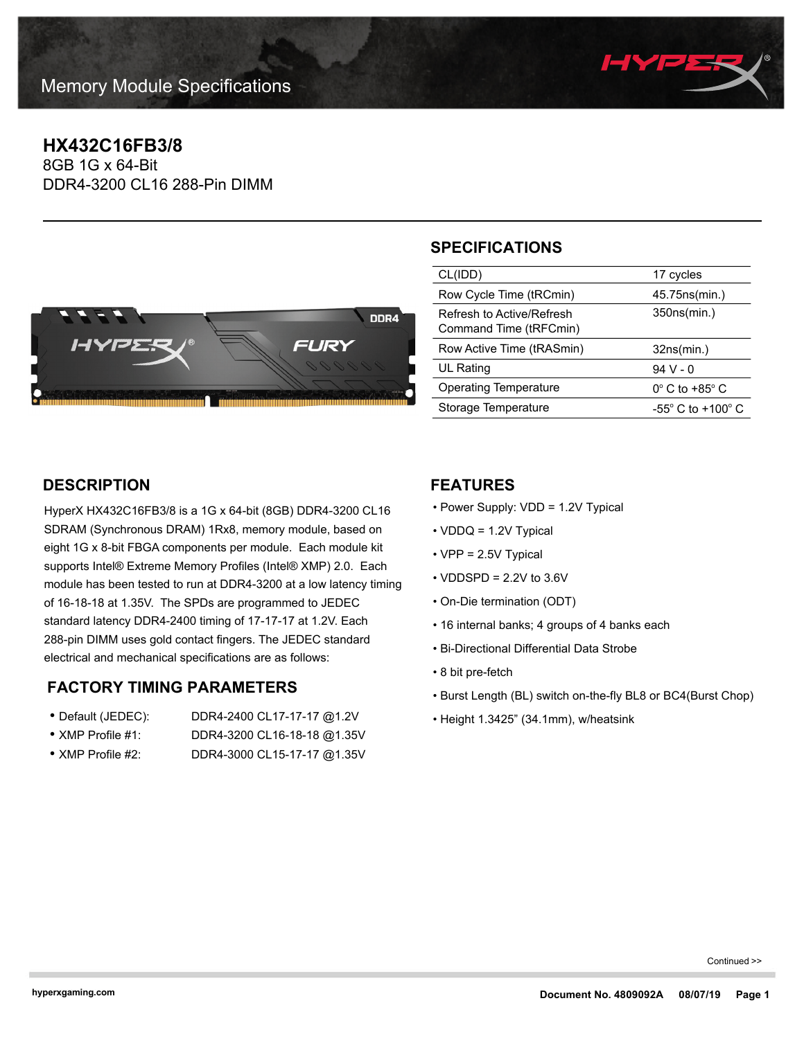

# **HX432C16FB3/8**

8GB 1G x 64-Bit DDR4-3200 CL16 288-Pin DIMM



# **SPECIFICATIONS**

| CL(IDD)                                             | 17 cycles                           |
|-----------------------------------------------------|-------------------------------------|
| Row Cycle Time (tRCmin)                             | 45.75 ns (min.)                     |
| Refresh to Active/Refresh<br>Command Time (tRFCmin) | 350ns(min.)                         |
|                                                     |                                     |
| Row Active Time (tRASmin)                           | 32ns(min.)                          |
| UL Rating                                           | 94 V - 0                            |
| <b>Operating Temperature</b>                        | $0^\circ$ C to +85 $^\circ$ C       |
| Storage Temperature                                 | $-55^{\circ}$ C to $+100^{\circ}$ C |

### **DESCRIPTION**

HyperX HX432C16FB3/8 is a 1G x 64-bit (8GB) DDR4-3200 CL16 SDRAM (Synchronous DRAM) 1Rx8, memory module, based on eight 1G x 8-bit FBGA components per module. Each module kit supports Intel® Extreme Memory Profiles (Intel® XMP) 2.0. Each module has been tested to run at DDR4-3200 at a low latency timing of 16-18-18 at 1.35V. The SPDs are programmed to JEDEC standard latency DDR4-2400 timing of 17-17-17 at 1.2V. Each 288-pin DIMM uses gold contact fingers. The JEDEC standard electrical and mechanical specifications are as follows:

### **FACTORY TIMING PARAMETERS**

- Default (JEDEC): DDR4-2400 CL17-17-17 @1.2V • XMP Profile #1: DDR4-3200 CL16-18-18 @1.35V
- XMP Profile #2: DDR4-3000 CL15-17-17 @1.35V
- 

### **FEATURES**

- Power Supply: VDD = 1.2V Typical
- VDDQ = 1.2V Typical
- VPP = 2.5V Typical
- $\cdot$  VDDSPD = 2.2V to 3.6V
- On-Die termination (ODT)
- 16 internal banks; 4 groups of 4 banks each
- Bi-Directional Differential Data Strobe
- 8 bit pre-fetch
- Burst Length (BL) switch on-the-fly BL8 or BC4(Burst Chop)
- Height 1.3425" (34.1mm), w/heatsink